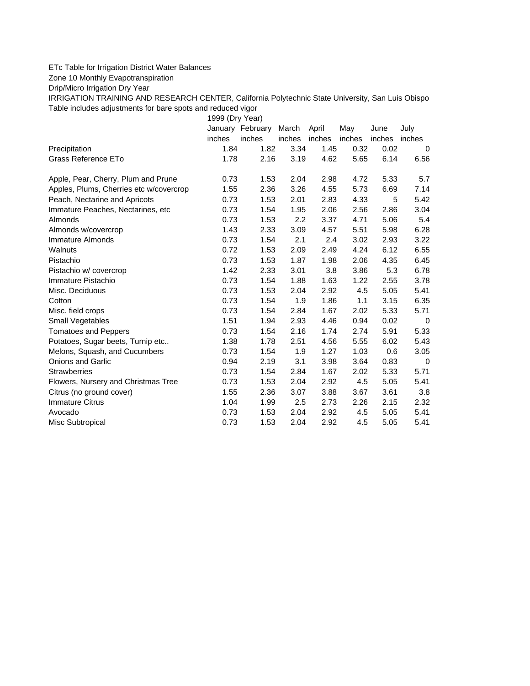## ETc Table for Irrigation District Water Balances

Zone 10 Monthly Evapotranspiration

Drip/Micro Irrigation Dry Year

IRRIGATION TRAINING AND RESEARCH CENTER, California Polytechnic State University, San Luis Obispo Table includes adjustments for bare spots and reduced vigor

1999 (Dry Year)

|                                         |        | January February | March  | April  | May    | June          | July     |
|-----------------------------------------|--------|------------------|--------|--------|--------|---------------|----------|
|                                         | inches | inches           | inches | inches | inches | inches inches |          |
| Precipitation                           | 1.84   | 1.82             | 3.34   | 1.45   | 0.32   | 0.02          | $\Omega$ |
| Grass Reference ETo                     | 1.78   | 2.16             | 3.19   | 4.62   | 5.65   | 6.14          | 6.56     |
| Apple, Pear, Cherry, Plum and Prune     | 0.73   | 1.53             | 2.04   | 2.98   | 4.72   | 5.33          | 5.7      |
| Apples, Plums, Cherries etc w/covercrop | 1.55   | 2.36             | 3.26   | 4.55   | 5.73   | 6.69          | 7.14     |
| Peach, Nectarine and Apricots           | 0.73   | 1.53             | 2.01   | 2.83   | 4.33   | 5             | 5.42     |
| Immature Peaches, Nectarines, etc       | 0.73   | 1.54             | 1.95   | 2.06   | 2.56   | 2.86          | 3.04     |
| Almonds                                 | 0.73   | 1.53             | 2.2    | 3.37   | 4.71   | 5.06          | 5.4      |
| Almonds w/covercrop                     | 1.43   | 2.33             | 3.09   | 4.57   | 5.51   | 5.98          | 6.28     |
| Immature Almonds                        | 0.73   | 1.54             | 2.1    | 2.4    | 3.02   | 2.93          | 3.22     |
| Walnuts                                 | 0.72   | 1.53             | 2.09   | 2.49   | 4.24   | 6.12          | 6.55     |
| Pistachio                               | 0.73   | 1.53             | 1.87   | 1.98   | 2.06   | 4.35          | 6.45     |
| Pistachio w/ covercrop                  | 1.42   | 2.33             | 3.01   | 3.8    | 3.86   | 5.3           | 6.78     |
| Immature Pistachio                      | 0.73   | 1.54             | 1.88   | 1.63   | 1.22   | 2.55          | 3.78     |
| Misc. Deciduous                         | 0.73   | 1.53             | 2.04   | 2.92   | 4.5    | 5.05          | 5.41     |
| Cotton                                  | 0.73   | 1.54             | 1.9    | 1.86   | 1.1    | 3.15          | 6.35     |
| Misc. field crops                       | 0.73   | 1.54             | 2.84   | 1.67   | 2.02   | 5.33          | 5.71     |
| Small Vegetables                        | 1.51   | 1.94             | 2.93   | 4.46   | 0.94   | 0.02          | $\Omega$ |
| <b>Tomatoes and Peppers</b>             | 0.73   | 1.54             | 2.16   | 1.74   | 2.74   | 5.91          | 5.33     |
| Potatoes, Sugar beets, Turnip etc       | 1.38   | 1.78             | 2.51   | 4.56   | 5.55   | 6.02          | 5.43     |
| Melons, Squash, and Cucumbers           | 0.73   | 1.54             | 1.9    | 1.27   | 1.03   | 0.6           | 3.05     |
| <b>Onions and Garlic</b>                | 0.94   | 2.19             | 3.1    | 3.98   | 3.64   | 0.83          | $\Omega$ |
| <b>Strawberries</b>                     | 0.73   | 1.54             | 2.84   | 1.67   | 2.02   | 5.33          | 5.71     |
| Flowers, Nursery and Christmas Tree     | 0.73   | 1.53             | 2.04   | 2.92   | 4.5    | 5.05          | 5.41     |
| Citrus (no ground cover)                | 1.55   | 2.36             | 3.07   | 3.88   | 3.67   | 3.61          | 3.8      |
| <b>Immature Citrus</b>                  | 1.04   | 1.99             | 2.5    | 2.73   | 2.26   | 2.15          | 2.32     |
| Avocado                                 | 0.73   | 1.53             | 2.04   | 2.92   | 4.5    | 5.05          | 5.41     |
| Misc Subtropical                        | 0.73   | 1.53             | 2.04   | 2.92   | 4.5    | 5.05          | 5.41     |